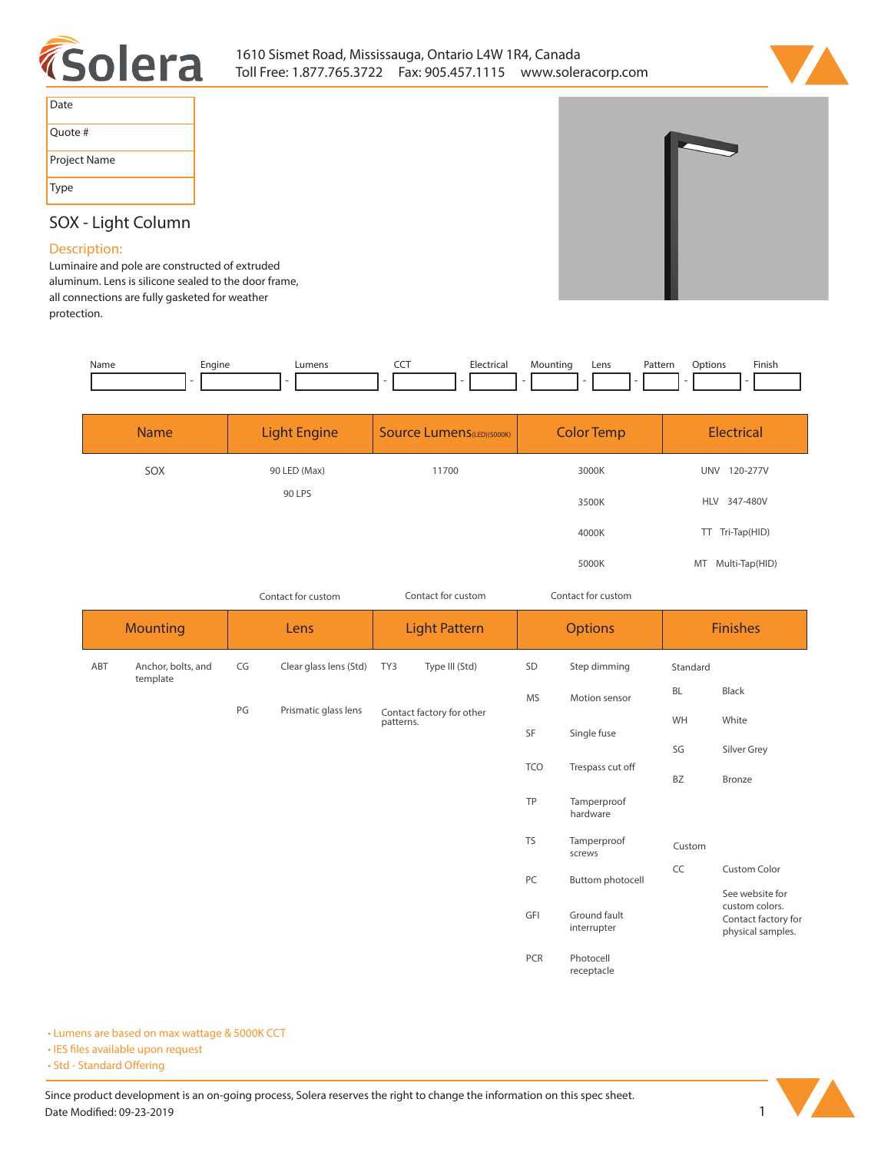



| Date         |  |
|--------------|--|
| Quote #      |  |
| Project Name |  |
| Type         |  |

## **SOX - Light Column**

## **Description:**

**Luminaire and pole are constructed of extruded aluminum. Lens is silicone sealed to the door frame, all connections are fully gasketed for weather protection.** 

| Name | Engine<br>- - | <b>umens</b> | --- | clectric: | Mountina | Lens<br>the contract of the contract of the | Pattern<br>. | otion<br>١n | Finish |
|------|---------------|--------------|-----|-----------|----------|---------------------------------------------|--------------|-------------|--------|
|      |               |              |     |           |          |                                             |              |             |        |

| <b>Name</b> | Light Engine | <b>Source Lumens</b> (LED)(5000K) | <b>Color Temp</b> | <b>Electrical</b>      |
|-------------|--------------|-----------------------------------|-------------------|------------------------|
| SOX         | 90 LED (Max) | 11700                             | 3000K             | 120-277V<br><b>UNV</b> |
|             | 90 LPS       |                                   | 3500K             | HLV 347-480V           |
|             |              |                                   | 4000K             | TT Tri-Tap(HID)        |
|             |              |                                   | 5000K             | MT Multi-Tap(HID)      |

*Contact for custom*

*Contact for custom Contact for custom*

|     | <b>Mounting</b>                |    | Lens                                   |     | <b>Light Pattern</b>   |             | <b>Options</b>              |             | <b>Finishes</b>                                                               |  |
|-----|--------------------------------|----|----------------------------------------|-----|------------------------|-------------|-----------------------------|-------------|-------------------------------------------------------------------------------|--|
| ABT | Anchor, bolts, and<br>template | CG | Clear glass lens (Std)                 | TY3 | Type III (Std)         | SD          | Step dimming                | Standard    |                                                                               |  |
|     | PG<br>Prismatic glass lens     | MS | Motion sensor                          | BL  | Black                  |             |                             |             |                                                                               |  |
|     |                                |    | Contact factory for other<br>patterns. |     | SF                     | Single fuse |                             | White       |                                                                               |  |
|     |                                |    |                                        |     |                        |             | SG                          | Silver Grey |                                                                               |  |
|     |                                |    |                                        |     |                        | <b>TCO</b>  | Trespass cut off            | <b>BZ</b>   | Bronze                                                                        |  |
|     |                                |    |                                        |     |                        | TP          | Tamperproof<br>hardware     |             |                                                                               |  |
|     |                                |    |                                        |     |                        | <b>TS</b>   | Tamperproof<br>screws       | Custom      |                                                                               |  |
|     |                                |    |                                        |     | PC<br>Buttom photocell | CC          | <b>Custom Color</b>         |             |                                                                               |  |
|     |                                |    |                                        |     |                        | GFI         | Ground fault<br>interrupter |             | See website for<br>custom colors.<br>Contact factory for<br>physical samples. |  |
|     |                                |    |                                        |     |                        | PCR         | Photocell<br>receptacle     |             |                                                                               |  |

**• Lumens are based on max wattage & 5000K CCT**

**• IES files available upon request** 

• Std - Standard Offering

Since product development is an on-going process, Solera reserves the right to change the information on this spec sheet. **Date Modified: 09-23-2019** 1